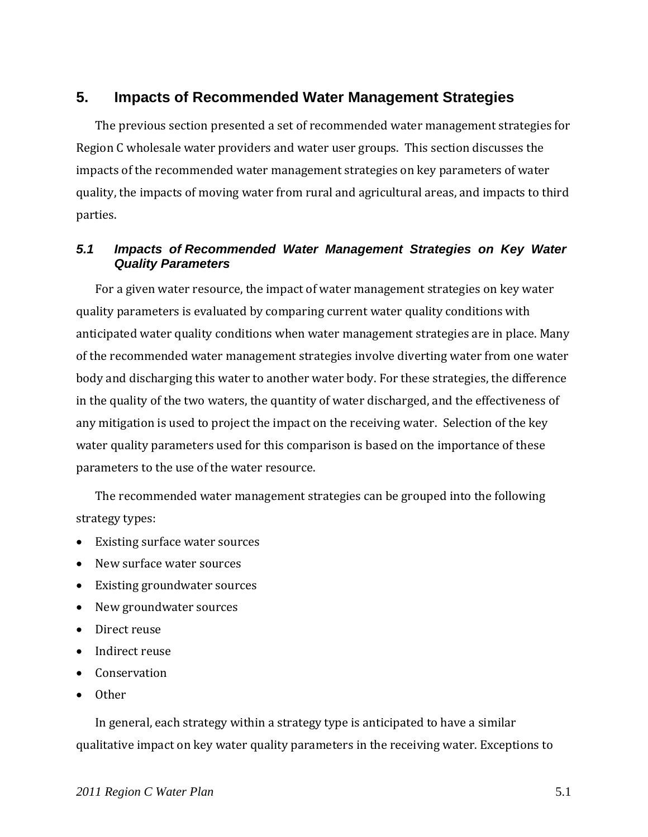# **5. Impacts of Recommended Water Management Strategies**

The previous section presented a set of recommended water management strategies for Region C wholesale water providers and water user groups. This section discusses the impacts of the recommended water management strategies on key parameters of water quality, the impacts of moving water from rural and agricultural areas, and impacts to third parties.

## *5.1 Impacts of Recommended Water Management Strategies on Key Water Quality Parameters*

For a given water resource, the impact of water management strategies on key water quality parameters is evaluated by comparing current water quality conditions with anticipated water quality conditions when water management strategies are in place. Many of the recommended water management strategies involve diverting water from one water body and discharging this water to another water body. For these strategies, the difference in the quality of the two waters, the quantity of water discharged, and the effectiveness of any mitigation is used to project the impact on the receiving water. Selection of the key water quality parameters used for this comparison is based on the importance of these parameters to the use of the water resource.

The recommended water management strategies can be grouped into the following strategy types:

- Existing surface water sources
- New surface water sources
- Existing groundwater sources
- New groundwater sources
- Direct reuse
- Indirect reuse
- Conservation
- Other

In general, each strategy within a strategy type is anticipated to have a similar qualitative impact on key water quality parameters in the receiving water. Exceptions to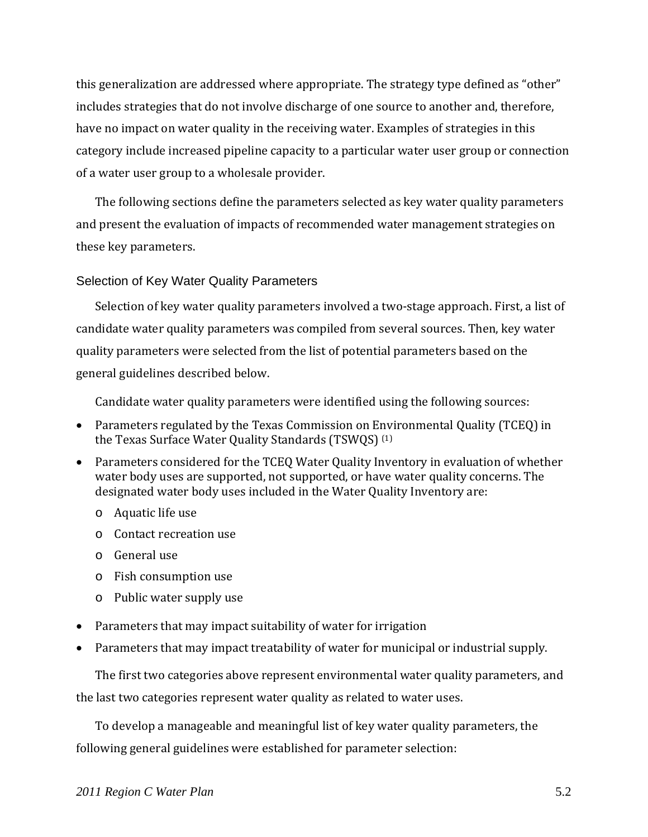this generalization are addressed where appropriate. The strategy type defined as "other" includes strategies that do not involve discharge of one source to another and, therefore, have no impact on water quality in the receiving water. Examples of strategies in this category include increased pipeline capacity to a particular water user group or connection of a water user group to a wholesale provider.

The following sections define the parameters selected as key water quality parameters and present the evaluation of impacts of recommended water management strategies on these key parameters.

### Selection of Key Water Quality Parameters

Selection of key water quality parameters involved a two-stage approach. First, a list of candidate water quality parameters was compiled from several sources. Then, key water quality parameters were selected from the list of potential parameters based on the general guidelines described below.

Candidate water quality parameters were identified using the following sources:

- Parameters regulated by the Texas Commission on Environmental Quality (TCEQ) in the Texas Surface Water Quality Standards (TSWQS) (1)
- Parameters considered for the TCEQ Water Quality Inventory in evaluation of whether water body uses are supported, not supported, or have water quality concerns. The designated water body uses included in the Water Quality Inventory are:
	- o Aquatic life use
	- o Contact recreation use
	- o General use
	- o Fish consumption use
	- o Public water supply use
- Parameters that may impact suitability of water for irrigation
- Parameters that may impact treatability of water for municipal or industrial supply.

The first two categories above represent environmental water quality parameters, and the last two categories represent water quality as related to water uses.

To develop a manageable and meaningful list of key water quality parameters, the following general guidelines were established for parameter selection: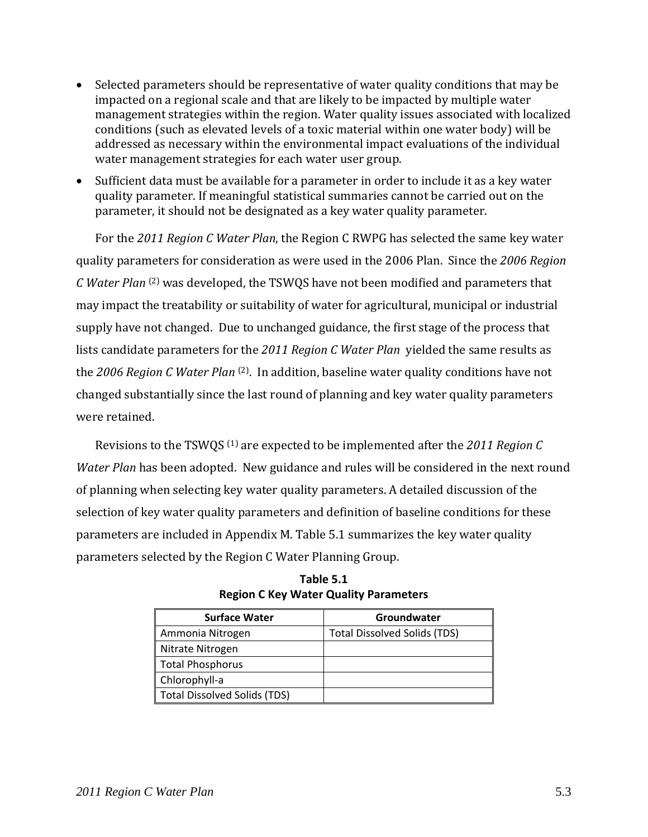- Selected parameters should be representative of water quality conditions that may be impacted on a regional scale and that are likely to be impacted by multiple water management strategies within the region. Water quality issues associated with localized conditions (such as elevated levels of a toxic material within one water body) will be addressed as necessary within the environmental impact evaluations of the individual water management strategies for each water user group.
- Sufficient data must be available for a parameter in order to include it as a key water quality parameter. If meaningful statistical summaries cannot be carried out on the parameter, it should not be designated as a key water quality parameter.

For the *2011 Region C Water Plan*, the Region C RWPG has selected the same key water quality parameters for consideration as were used in the 2006 Plan. Since the *2006 Region C Water Plan* (2) was developed, the TSWQS have not been modified and parameters that may impact the treatability or suitability of water for agricultural, municipal or industrial supply have not changed. Due to unchanged guidance, the first stage of the process that lists candidate parameters for the *2011 Region C Water Plan* yielded the same results as the *2006 Region C Water Plan* (2). In addition, baseline water quality conditions have not changed substantially since the last round of planning and key water quality parameters were retained.

Revisions to the TSWQS (1) are expected to be implemented after the *2011 Region C Water Plan* has been adopted. New guidance and rules will be considered in the next round of planning when selecting key water quality parameters. A detailed discussion of the selection of key water quality parameters and definition of baseline conditions for these parameters are included in Appendix M. Table 5.1 summarizes the key water quality parameters selected by the Region C Water Planning Group.

| <b>Surface Water</b>         | Groundwater                         |
|------------------------------|-------------------------------------|
| Ammonia Nitrogen             | <b>Total Dissolved Solids (TDS)</b> |
| Nitrate Nitrogen             |                                     |
| Total Phosphorus             |                                     |
| Chlorophyll-a                |                                     |
| Total Dissolved Solids (TDS) |                                     |

**Table 5.1 Region C Key Water Quality Parameters**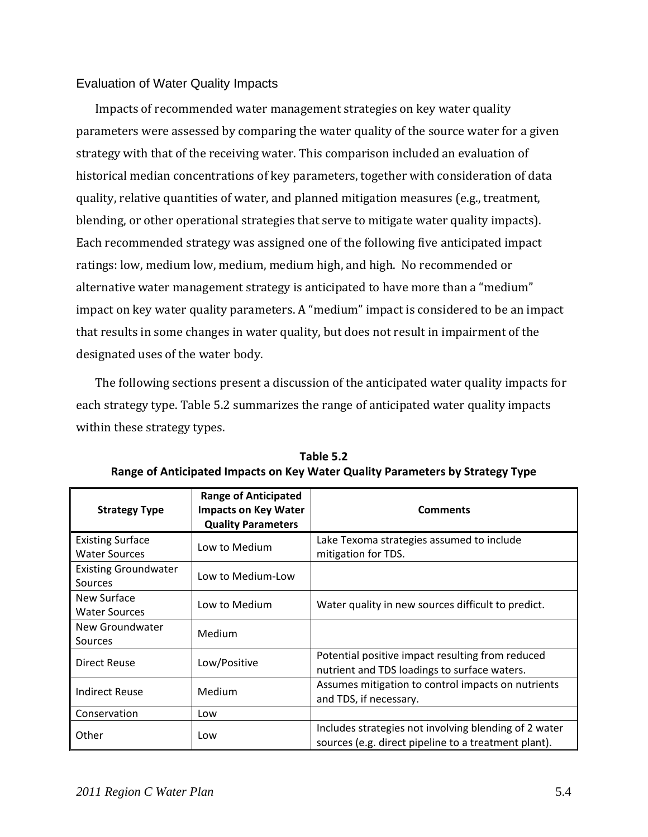## Evaluation of Water Quality Impacts

Impacts of recommended water management strategies on key water quality parameters were assessed by comparing the water quality of the source water for a given strategy with that of the receiving water. This comparison included an evaluation of historical median concentrations of key parameters, together with consideration of data quality, relative quantities of water, and planned mitigation measures (e.g., treatment, blending, or other operational strategies that serve to mitigate water quality impacts). Each recommended strategy was assigned one of the following five anticipated impact ratings: low, medium low, medium, medium high, and high. No recommended or alternative water management strategy is anticipated to have more than a "medium" impact on key water quality parameters. A "medium" impact is considered to be an impact that results in some changes in water quality, but does not result in impairment of the designated uses of the water body.

The following sections present a discussion of the anticipated water quality impacts for each strategy type. Table 5.2 summarizes the range of anticipated water quality impacts within these strategy types.

| <b>Strategy Type</b>                            | <b>Range of Anticipated</b><br><b>Impacts on Key Water</b><br><b>Quality Parameters</b> | <b>Comments</b>                                                                                               |
|-------------------------------------------------|-----------------------------------------------------------------------------------------|---------------------------------------------------------------------------------------------------------------|
| <b>Existing Surface</b><br><b>Water Sources</b> | Low to Medium                                                                           | Lake Texoma strategies assumed to include<br>mitigation for TDS.                                              |
| <b>Existing Groundwater</b><br>Sources          | Low to Medium-Low                                                                       |                                                                                                               |
| New Surface<br><b>Water Sources</b>             | Low to Medium                                                                           | Water quality in new sources difficult to predict.                                                            |
| New Groundwater<br>Sources                      | Medium                                                                                  |                                                                                                               |
| Direct Reuse                                    | Low/Positive                                                                            | Potential positive impact resulting from reduced<br>nutrient and TDS loadings to surface waters.              |
| <b>Indirect Reuse</b>                           | Medium                                                                                  | Assumes mitigation to control impacts on nutrients<br>and TDS, if necessary.                                  |
| Conservation                                    | Low                                                                                     |                                                                                                               |
| Other                                           | Low                                                                                     | Includes strategies not involving blending of 2 water<br>sources (e.g. direct pipeline to a treatment plant). |

**Table 5.2 Range of Anticipated Impacts on Key Water Quality Parameters by Strategy Type**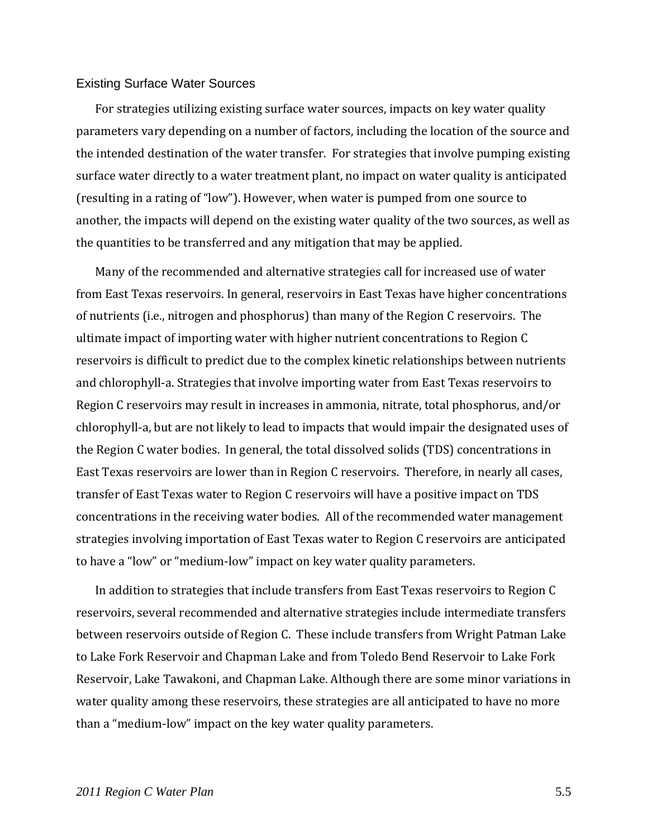#### Existing Surface Water Sources

For strategies utilizing existing surface water sources, impacts on key water quality parameters vary depending on a number of factors, including the location of the source and the intended destination of the water transfer. For strategies that involve pumping existing surface water directly to a water treatment plant, no impact on water quality is anticipated (resulting in a rating of "low"). However, when water is pumped from one source to another, the impacts will depend on the existing water quality of the two sources, as well as the quantities to be transferred and any mitigation that may be applied.

Many of the recommended and alternative strategies call for increased use of water from East Texas reservoirs. In general, reservoirs in East Texas have higher concentrations of nutrients (i.e., nitrogen and phosphorus) than many of the Region C reservoirs. The ultimate impact of importing water with higher nutrient concentrations to Region C reservoirs is difficult to predict due to the complex kinetic relationships between nutrients and chlorophyll‐a. Strategies that involve importing water from East Texas reservoirs to Region C reservoirs may result in increases in ammonia, nitrate, total phosphorus, and/or chlorophyll‐a, but are not likely to lead to impacts that would impair the designated uses of the Region C water bodies. In general, the total dissolved solids (TDS) concentrations in East Texas reservoirs are lower than in Region C reservoirs. Therefore, in nearly all cases, transfer of East Texas water to Region C reservoirs will have a positive impact on TDS concentrations in the receiving water bodies. All of the recommended water management strategies involving importation of East Texas water to Region C reservoirs are anticipated to have a "low" or "medium‐low" impact on key water quality parameters.

In addition to strategies that include transfers from East Texas reservoirs to Region C reservoirs, several recommended and alternative strategies include intermediate transfers between reservoirs outside of Region C. These include transfers from Wright Patman Lake to Lake Fork Reservoir and Chapman Lake and from Toledo Bend Reservoir to Lake Fork Reservoir, Lake Tawakoni, and Chapman Lake. Although there are some minor variations in water quality among these reservoirs, these strategies are all anticipated to have no more than a "medium‐low" impact on the key water quality parameters.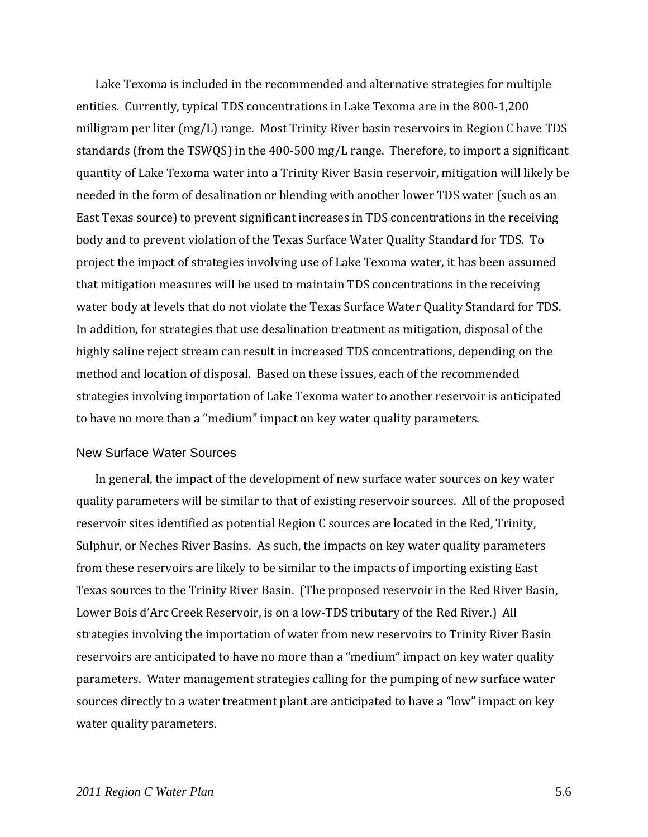Lake Texoma is included in the recommended and alternative strategies for multiple entities. Currently, typical TDS concentrations in Lake Texoma are in the 800‐1,200 milligram per liter (mg/L) range. Most Trinity River basin reservoirs in Region C have TDS standards (from the TSWQS) in the 400‐500 mg/L range. Therefore, to import a significant quantity of Lake Texoma water into a Trinity River Basin reservoir, mitigation will likely be needed in the form of desalination or blending with another lower TDS water (such as an East Texas source) to prevent significant increases in TDS concentrations in the receiving body and to prevent violation of the Texas Surface Water Quality Standard for TDS. To project the impact of strategies involving use of Lake Texoma water, it has been assumed that mitigation measures will be used to maintain TDS concentrations in the receiving water body at levels that do not violate the Texas Surface Water Quality Standard for TDS. In addition, for strategies that use desalination treatment as mitigation, disposal of the highly saline reject stream can result in increased TDS concentrations, depending on the method and location of disposal. Based on these issues, each of the recommended strategies involving importation of Lake Texoma water to another reservoir is anticipated to have no more than a "medium" impact on key water quality parameters.

#### New Surface Water Sources

In general, the impact of the development of new surface water sources on key water quality parameters will be similar to that of existing reservoir sources. All of the proposed reservoir sites identified as potential Region C sources are located in the Red, Trinity, Sulphur, or Neches River Basins. As such, the impacts on key water quality parameters from these reservoirs are likely to be similar to the impacts of importing existing East Texas sources to the Trinity River Basin. (The proposed reservoir in the Red River Basin, Lower Bois d'Arc Creek Reservoir, is on a low-TDS tributary of the Red River.) All strategies involving the importation of water from new reservoirs to Trinity River Basin reservoirs are anticipated to have no more than a "medium" impact on key water quality parameters. Water management strategies calling for the pumping of new surface water sources directly to a water treatment plant are anticipated to have a "low" impact on key water quality parameters.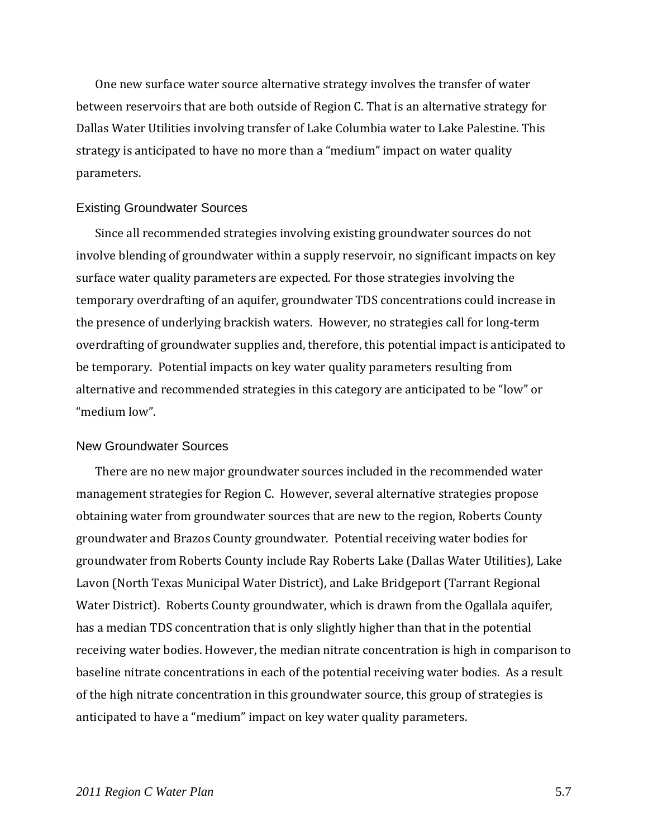One new surface water source alternative strategy involves the transfer of water between reservoirs that are both outside of Region C. That is an alternative strategy for Dallas Water Utilities involving transfer of Lake Columbia water to Lake Palestine. This strategy is anticipated to have no more than a "medium" impact on water quality parameters.

#### Existing Groundwater Sources

Since all recommended strategies involving existing groundwater sources do not involve blending of groundwater within a supply reservoir, no significant impacts on key surface water quality parameters are expected. For those strategies involving the temporary overdrafting of an aquifer, groundwater TDS concentrations could increase in the presence of underlying brackish waters. However, no strategies call for long‐term overdrafting of groundwater supplies and, therefore, this potential impact is anticipated to be temporary. Potential impacts on key water quality parameters resulting from alternative and recommended strategies in this category are anticipated to be "low" or "medium low".

#### New Groundwater Sources

There are no new major groundwater sources included in the recommended water management strategies for Region C. However, several alternative strategies propose obtaining water from groundwater sources that are new to the region, Roberts County groundwater and Brazos County groundwater. Potential receiving water bodies for groundwater from Roberts County include Ray Roberts Lake (Dallas Water Utilities), Lake Lavon (North Texas Municipal Water District), and Lake Bridgeport (Tarrant Regional Water District). Roberts County groundwater, which is drawn from the Ogallala aquifer, has a median TDS concentration that is only slightly higher than that in the potential receiving water bodies. However, the median nitrate concentration is high in comparison to baseline nitrate concentrations in each of the potential receiving water bodies. As a result of the high nitrate concentration in this groundwater source, this group of strategies is anticipated to have a "medium" impact on key water quality parameters.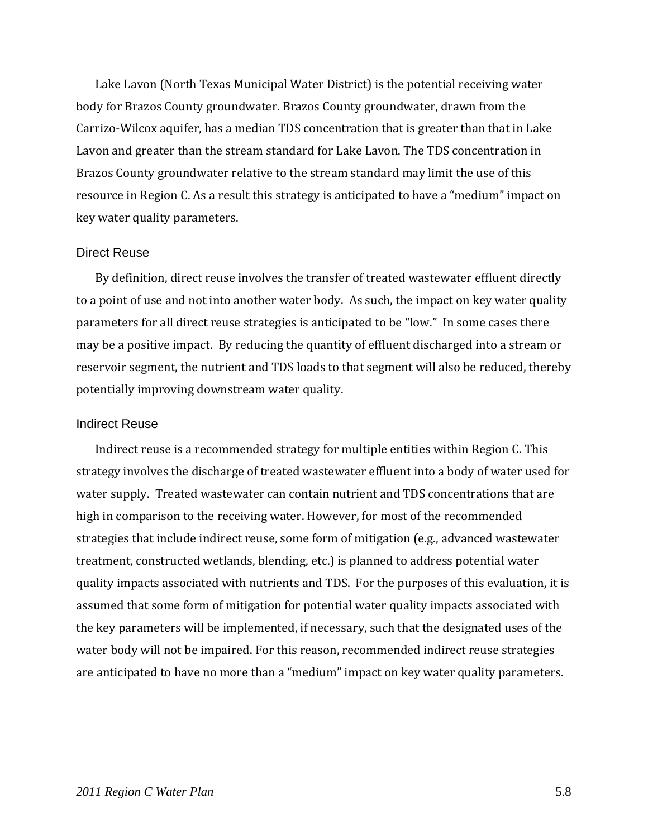Lake Lavon (North Texas Municipal Water District) is the potential receiving water body for Brazos County groundwater. Brazos County groundwater, drawn from the Carrizo‐Wilcox aquifer, has a median TDS concentration that is greater than that in Lake Lavon and greater than the stream standard for Lake Lavon. The TDS concentration in Brazos County groundwater relative to the stream standard may limit the use of this resource in Region C. As a result this strategy is anticipated to have a "medium" impact on key water quality parameters.

#### Direct Reuse

By definition, direct reuse involves the transfer of treated wastewater effluent directly to a point of use and not into another water body. As such, the impact on key water quality parameters for all direct reuse strategies is anticipated to be "low." In some cases there may be a positive impact. By reducing the quantity of effluent discharged into a stream or reservoir segment, the nutrient and TDS loads to that segment will also be reduced, thereby potentially improving downstream water quality.

#### Indirect Reuse

Indirect reuse is a recommended strategy for multiple entities within Region C. This strategy involves the discharge of treated wastewater effluent into a body of water used for water supply. Treated wastewater can contain nutrient and TDS concentrations that are high in comparison to the receiving water. However, for most of the recommended strategies that include indirect reuse, some form of mitigation (e.g., advanced wastewater treatment, constructed wetlands, blending, etc.) is planned to address potential water quality impacts associated with nutrients and TDS. For the purposes of this evaluation, it is assumed that some form of mitigation for potential water quality impacts associated with the key parameters will be implemented, if necessary, such that the designated uses of the water body will not be impaired. For this reason, recommended indirect reuse strategies are anticipated to have no more than a "medium" impact on key water quality parameters.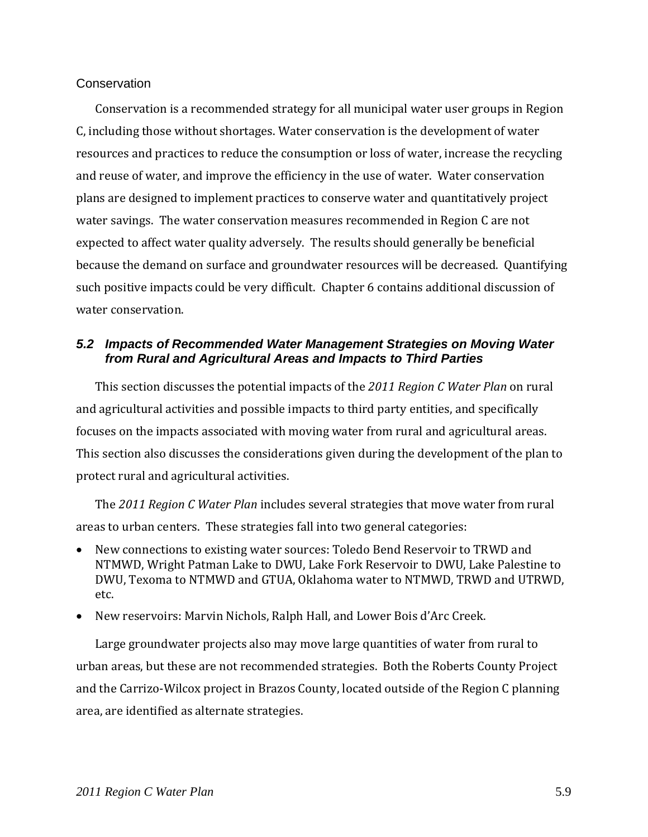### **Conservation**

Conservation is a recommended strategy for all municipal water user groups in Region C, including those without shortages. Water conservation is the development of water resources and practices to reduce the consumption or loss of water, increase the recycling and reuse of water, and improve the efficiency in the use of water. Water conservation plans are designed to implement practices to conserve water and quantitatively project water savings. The water conservation measures recommended in Region C are not expected to affect water quality adversely. The results should generally be beneficial because the demand on surface and groundwater resources will be decreased. Quantifying such positive impacts could be very difficult. Chapter 6 contains additional discussion of water conservation.

## *5.2 Impacts of Recommended Water Management Strategies on Moving Water from Rural and Agricultural Areas and Impacts to Third Parties*

This section discusses the potential impacts of the *2011 Region C Water Plan* on rural and agricultural activities and possible impacts to third party entities, and specifically focuses on the impacts associated with moving water from rural and agricultural areas. This section also discusses the considerations given during the development of the plan to protect rural and agricultural activities.

The *2011 Region C Water Plan* includes several strategies that move water from rural areas to urban centers. These strategies fall into two general categories:

- New connections to existing water sources: Toledo Bend Reservoir to TRWD and NTMWD, Wright Patman Lake to DWU, Lake Fork Reservoir to DWU, Lake Palestine to DWU, Texoma to NTMWD and GTUA, Oklahoma water to NTMWD, TRWD and UTRWD, etc.
- New reservoirs: Marvin Nichols, Ralph Hall, and Lower Bois d'Arc Creek.

Large groundwater projects also may move large quantities of water from rural to urban areas, but these are not recommended strategies. Both the Roberts County Project and the Carrizo‐Wilcox project in Brazos County, located outside of the Region C planning area, are identified as alternate strategies.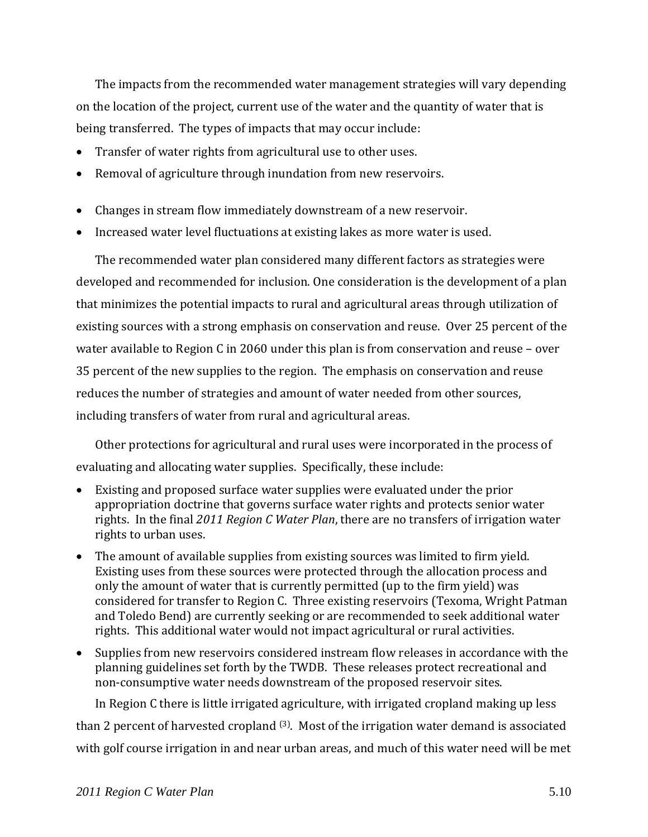The impacts from the recommended water management strategies will vary depending on the location of the project, current use of the water and the quantity of water that is being transferred. The types of impacts that may occur include:

- Transfer of water rights from agricultural use to other uses.
- Removal of agriculture through inundation from new reservoirs.
- Changes in stream flow immediately downstream of a new reservoir.
- Increased water level fluctuations at existing lakes as more water is used.

The recommended water plan considered many different factors as strategies were developed and recommended for inclusion. One consideration is the development of a plan that minimizes the potential impacts to rural and agricultural areas through utilization of existing sources with a strong emphasis on conservation and reuse. Over 25 percent of the water available to Region C in 2060 under this plan is from conservation and reuse – over 35 percent of the new supplies to the region. The emphasis on conservation and reuse reduces the number of strategies and amount of water needed from other sources, including transfers of water from rural and agricultural areas.

Other protections for agricultural and rural uses were incorporated in the process of evaluating and allocating water supplies. Specifically, these include:

- Existing and proposed surface water supplies were evaluated under the prior appropriation doctrine that governs surface water rights and protects senior water rights. In the final *2011 Region C Water Plan*, there are no transfers of irrigation water rights to urban uses.
- The amount of available supplies from existing sources was limited to firm yield. Existing uses from these sources were protected through the allocation process and only the amount of water that is currently permitted (up to the firm yield) was considered for transfer to Region C. Three existing reservoirs (Texoma, Wright Patman and Toledo Bend) are currently seeking or are recommended to seek additional water rights. This additional water would not impact agricultural or rural activities.
- Supplies from new reservoirs considered instream flow releases in accordance with the planning guidelines set forth by the TWDB. These releases protect recreational and non‐consumptive water needs downstream of the proposed reservoir sites.

In Region C there is little irrigated agriculture, with irrigated cropland making up less than 2 percent of harvested cropland (3). Most of the irrigation water demand is associated with golf course irrigation in and near urban areas, and much of this water need will be met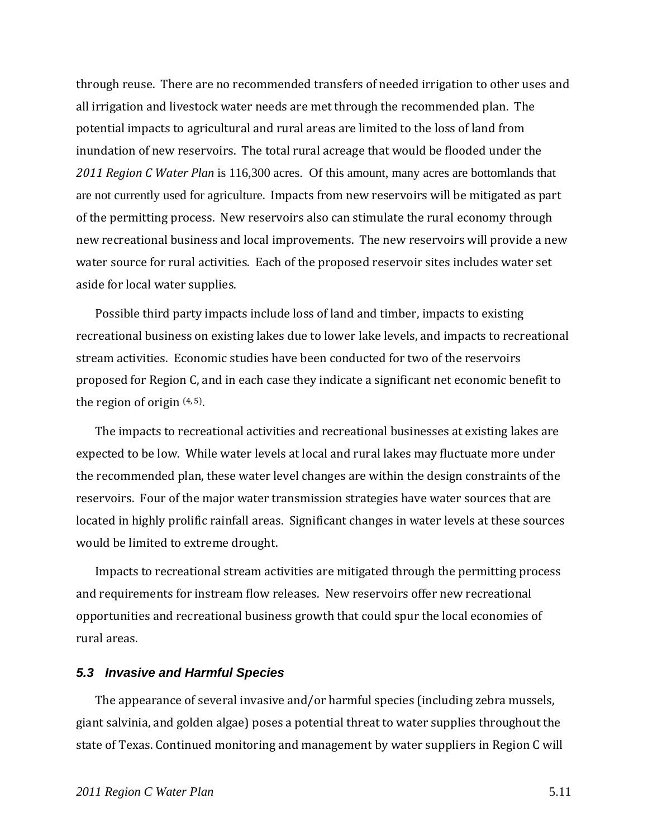through reuse. There are no recommended transfers of needed irrigation to other uses and all irrigation and livestock water needs are met through the recommended plan. The potential impacts to agricultural and rural areas are limited to the loss of land from inundation of new reservoirs. The total rural acreage that would be flooded under the *2011 Region C Water Plan* is 116,300 acres. Of this amount, many acres are bottomlands that are not currently used for agriculture. Impacts from new reservoirs will be mitigated as part of the permitting process. New reservoirs also can stimulate the rural economy through new recreational business and local improvements. The new reservoirs will provide a new water source for rural activities. Each of the proposed reservoir sites includes water set aside for local water supplies.

Possible third party impacts include loss of land and timber, impacts to existing recreational business on existing lakes due to lower lake levels, and impacts to recreational stream activities. Economic studies have been conducted for two of the reservoirs proposed for Region C, and in each case they indicate a significant net economic benefit to the region of origin (4, 5).

The impacts to recreational activities and recreational businesses at existing lakes are expected to be low. While water levels at local and rural lakes may fluctuate more under the recommended plan, these water level changes are within the design constraints of the reservoirs. Four of the major water transmission strategies have water sources that are located in highly prolific rainfall areas. Significant changes in water levels at these sources would be limited to extreme drought.

Impacts to recreational stream activities are mitigated through the permitting process and requirements for instream flow releases. New reservoirs offer new recreational opportunities and recreational business growth that could spur the local economies of rural areas.

#### *5.3 Invasive and Harmful Species*

The appearance of several invasive and/or harmful species (including zebra mussels, giant salvinia, and golden algae) poses a potential threat to water supplies throughout the state of Texas. Continued monitoring and management by water suppliers in Region C will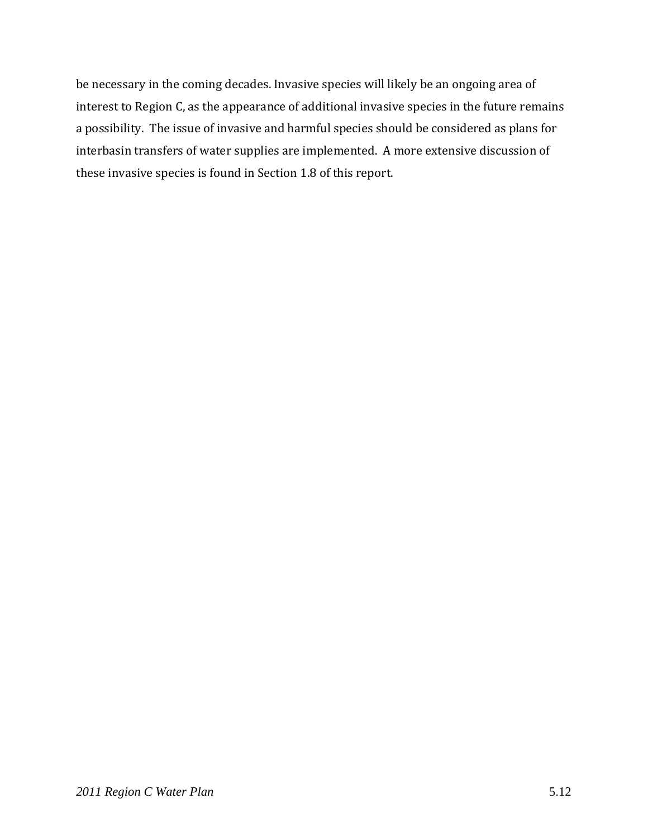be necessary in the coming decades. Invasive species will likely be an ongoing area of interest to Region C, as the appearance of additional invasive species in the future remains a possibility. The issue of invasive and harmful species should be considered as plans for interbasin transfers of water supplies are implemented. A more extensive discussion of these invasive species is found in Section 1.8 of this report.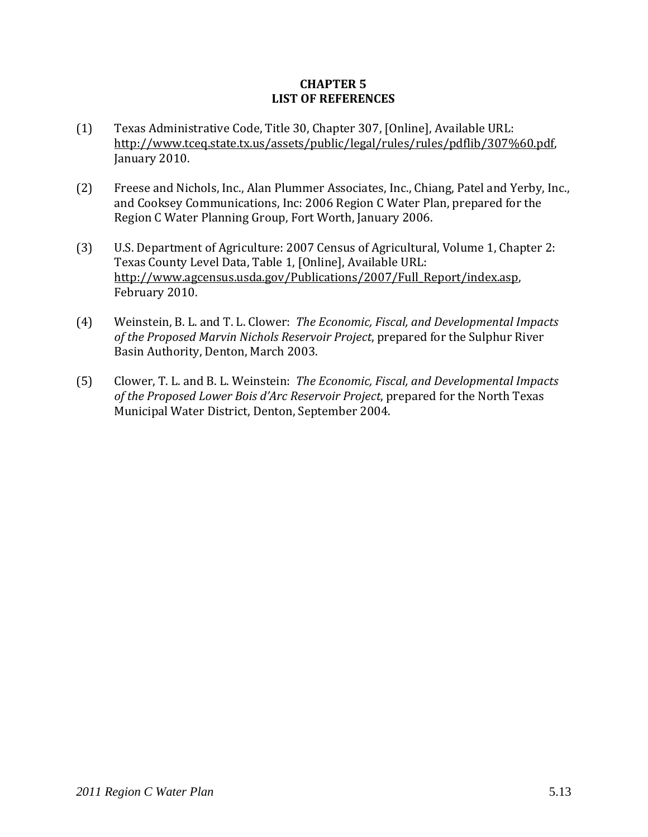## **CHAPTER 5 LIST OF REFERENCES**

- (1) Texas Administrative Code, Title 30, Chapter 307, [Online], Available URL: http://www.tceq.state.tx.us/assets/public/legal/rules/rules/pdflib/307%60.pdf, January 2010.
- (2) Freese and Nichols, Inc., Alan Plummer Associates, Inc., Chiang, Patel and Yerby, Inc., and Cooksey Communications, Inc: 2006 Region C Water Plan, prepared for the Region C Water Planning Group, Fort Worth, January 2006.
- (3) U.S. Department of Agriculture: 2007 Census of Agricultural, Volume 1, Chapter 2: Texas County Level Data, Table 1, [Online], Available URL: http://www.agcensus.usda.gov/Publications/2007/Full\_Report/index.asp, February 2010.
- (4) Weinstein, B. L. and T. L. Clower: *The Economic, Fiscal, and Developmental Impacts of the Proposed Marvin Nichols Reservoir Project*, prepared for the Sulphur River Basin Authority, Denton, March 2003.
- (5) Clower, T. L. and B. L. Weinstein: *The Economic, Fiscal, and Developmental Impacts of the Proposed Lower Bois d'Arc Reservoir Project*, prepared for the North Texas Municipal Water District, Denton, September 2004.